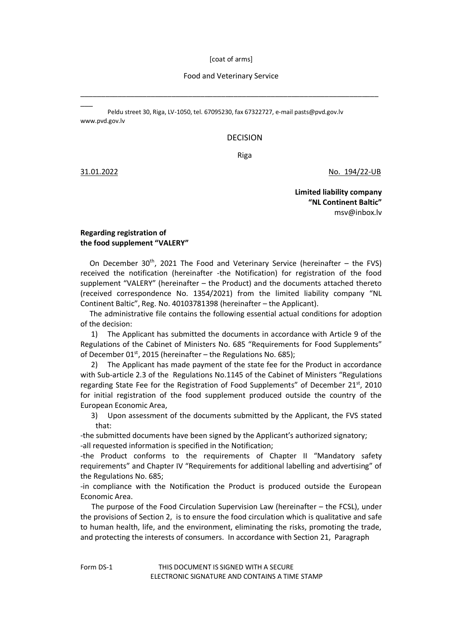[coat of arms]

## Food and Veterinary Service

\_\_\_\_\_\_\_\_\_\_\_\_\_\_\_\_\_\_\_\_\_\_\_\_\_\_\_\_\_\_\_\_\_\_\_\_\_\_\_\_\_\_\_\_\_\_\_\_\_\_\_\_\_\_\_\_\_\_\_\_\_\_\_\_\_\_\_\_\_\_\_\_

Peldu street 30, Riga, LV-1050, tel. 67095230, fax 67322727, e-mai[l pasts@pvd.gov.l](mailto:pasts@pvd.gov)v [www.pvd.gov.lv](http://www.pvd.gov.lv/)

## DECISION

Riga

 $\overline{\phantom{a}}$ 

31.01.2022 No. 194/22-UB

**Limited liability company "NL Continent Baltic"** [msv@inbox.lv](mailto:msv@inbox.lv)

## **Regarding registration of the food supplement "VALERY"**

On December  $30<sup>th</sup>$ , 2021 The Food and Veterinary Service (hereinafter – the FVS) received the notification (hereinafter -the Notification) for registration of the food supplement "VALERY" (hereinafter – the Product) and the documents attached thereto (received correspondence No. 1354/2021) from the limited liability company "NL Continent Baltic", Reg. No. 40103781398 (hereinafter – the Applicant).

 The administrative file contains the following essential actual conditions for adoption of the decision:

1) The Applicant has submitted the documents in accordance with Article 9 of the Regulations of the Cabinet of Ministers No. 685 "Requirements for Food Supplements" of December 01st, 2015 (hereinafter – the Regulations No. 685);

2) The Applicant has made payment of the state fee for the Product in accordance with Sub-article 2.3 of the Regulations No.1145 of the Cabinet of Ministers "Regulations regarding State Fee for the Registration of Food Supplements" of December  $21<sup>st</sup>$ , 2010 for initial registration of the food supplement produced outside the country of the European Economic Area,

3) Upon assessment of the documents submitted by the Applicant, the FVS stated that:

-the submitted documents have been signed by the Applicant's authorized signatory; -all requested information is specified in the Notification;

-the Product conforms to the requirements of Chapter II "Mandatory safety requirements" and Chapter IV "Requirements for additional labelling and advertising" of the Regulations No. 685;

-in compliance with the Notification the Product is produced outside the European Economic Area.

 The purpose of the Food Circulation Supervision Law (hereinafter – the FCSL), under the provisions of Section 2, is to ensure the food circulation which is qualitative and safe to human health, life, and the environment, eliminating the risks, promoting the trade, and protecting the interests of consumers. In accordance with Section 21, Paragraph